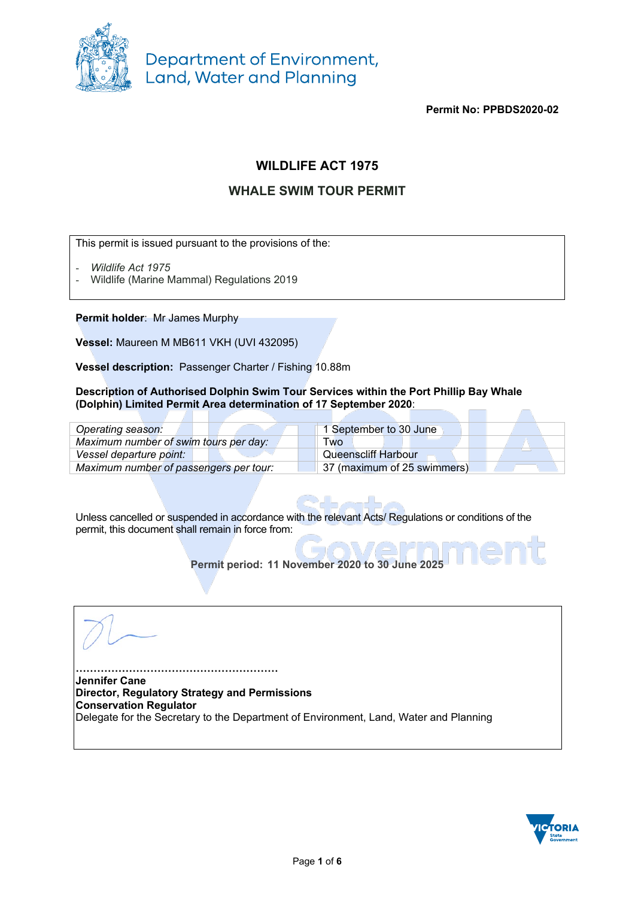

**Permit No: PPBDS2020-02**

## **WILDLIFE ACT 1975**

## **WHALE SWIM TOUR PERMIT**

This permit is issued pursuant to the provisions of the:

- *Wildlife Act 1975*
- Wildlife (Marine Mammal) Regulations 2019

**Permit holder**: Mr James Murphy

**Vessel:** Maureen M MB611 VKH (UVI 432095)

**Vessel description:** Passenger Charter / Fishing 10.88m

#### **Description of Authorised Dolphin Swim Tour Services within the Port Phillip Bay Whale (Dolphin) Limited Permit Area determination of 17 September 2020**: Г.

| Operating season:                      | 1 September to 30 June      |
|----------------------------------------|-----------------------------|
| Maximum number of swim tours per day:  | <b>Two</b>                  |
| Vessel departure point:                | <b>Queenscliff Harbour</b>  |
| Maximum number of passengers per tour: | 37 (maximum of 25 swimmers) |

Unless cancelled or suspended in accordance with the relevant Acts/ Regulations or conditions of the permit, this document shall remain in force from:

**Permit period: 11 November 2020 to 30 June 2025**

**………………………………………………… Jennifer Cane Director, Regulatory Strategy and Permissions Conservation Regulator**  Delegate for the Secretary to the Department of Environment, Land, Water and Planning

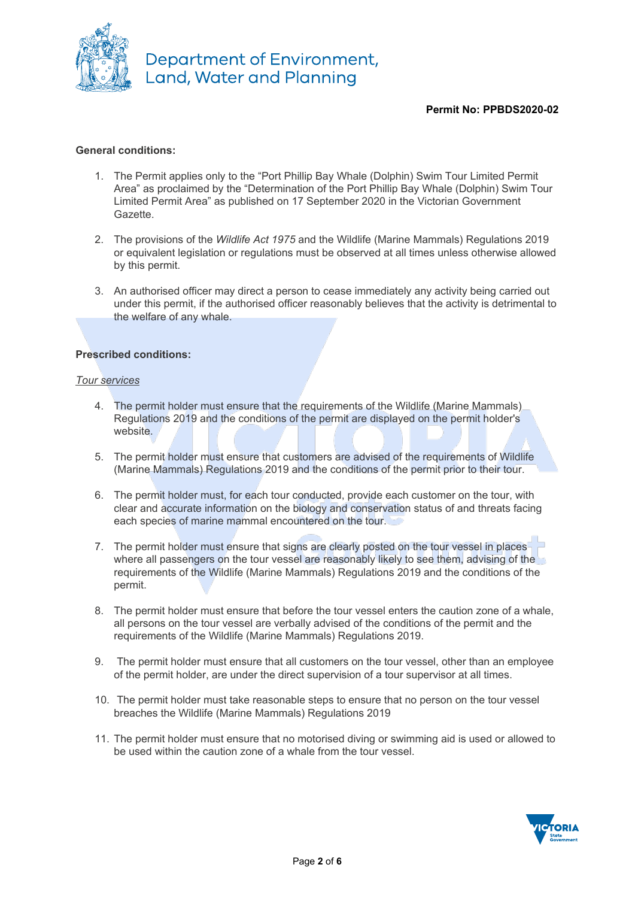

## **Permit No: PPBDS2020-02**

### **General conditions:**

- 1. The Permit applies only to the "Port Phillip Bay Whale (Dolphin) Swim Tour Limited Permit Area" as proclaimed by the "Determination of the Port Phillip Bay Whale (Dolphin) Swim Tour Limited Permit Area" as published on 17 September 2020 in the Victorian Government Gazette.
- 2. The provisions of the *Wildlife Act 1975* and the Wildlife (Marine Mammals) Regulations 2019 or equivalent legislation or regulations must be observed at all times unless otherwise allowed by this permit.
- 3. An authorised officer may direct a person to cease immediately any activity being carried out under this permit, if the authorised officer reasonably believes that the activity is detrimental to the welfare of any whale.

### **Prescribed conditions:**

#### *Tour services*

- 4. The permit holder must ensure that the requirements of the Wildlife (Marine Mammals) Regulations 2019 and the conditions of the permit are displayed on the permit holder's website.
- 5. The permit holder must ensure that customers are advised of the requirements of Wildlife (Marine Mammals) Regulations 2019 and the conditions of the permit prior to their tour.
- 6. The permit holder must, for each tour conducted, provide each customer on the tour, with clear and accurate information on the biology and conservation status of and threats facing each species of marine mammal encountered on the tour.
- 7. The permit holder must ensure that signs are clearly posted on the tour vessel in placeswhere all passengers on the tour vessel are reasonably likely to see them, advising of the requirements of the Wildlife (Marine Mammals) Regulations 2019 and the conditions of the permit.
- 8. The permit holder must ensure that before the tour vessel enters the caution zone of a whale, all persons on the tour vessel are verbally advised of the conditions of the permit and the requirements of the Wildlife (Marine Mammals) Regulations 2019.
- 9. The permit holder must ensure that all customers on the tour vessel, other than an employee of the permit holder, are under the direct supervision of a tour supervisor at all times.
- 10. The permit holder must take reasonable steps to ensure that no person on the tour vessel breaches the Wildlife (Marine Mammals) Regulations 2019
- 11. The permit holder must ensure that no motorised diving or swimming aid is used or allowed to be used within the caution zone of a whale from the tour vessel.

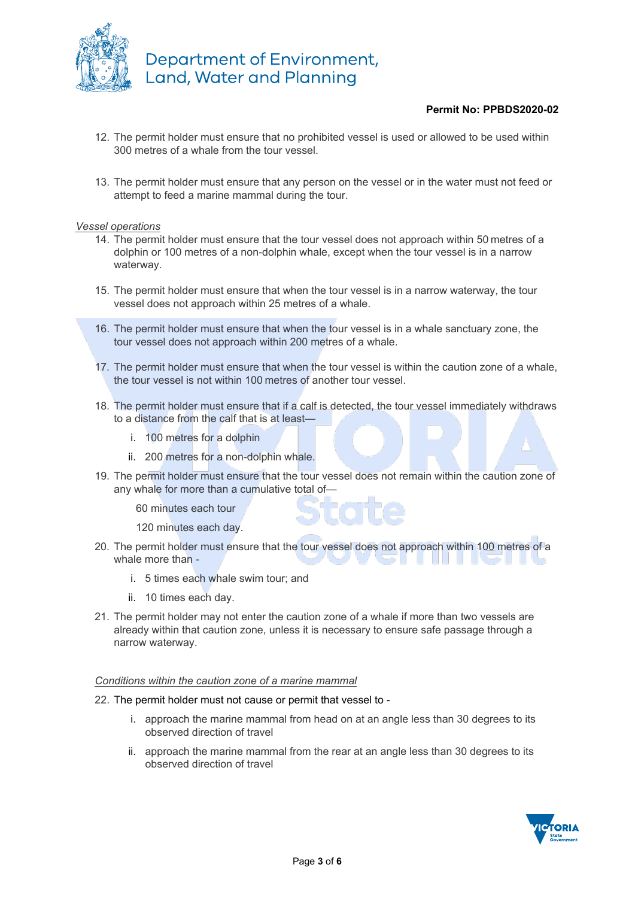

## **Permit No: PPBDS2020-02**

- 12. The permit holder must ensure that no prohibited vessel is used or allowed to be used within 300 metres of a whale from the tour vessel.
- 13. The permit holder must ensure that any person on the vessel or in the water must not feed or attempt to feed a marine mammal during the tour.

#### *Vessel operations*

- 14. The permit holder must ensure that the tour vessel does not approach within 50 metres of a dolphin or 100 metres of a non-dolphin whale, except when the tour vessel is in a narrow waterway.
- 15. The permit holder must ensure that when the tour vessel is in a narrow waterway, the tour vessel does not approach within 25 metres of a whale.
- 16. The permit holder must ensure that when the tour vessel is in a whale sanctuary zone, the tour vessel does not approach within 200 metres of a whale.
- 17. The permit holder must ensure that when the tour vessel is within the caution zone of a whale, the tour vessel is not within 100 metres of another tour vessel.
- 18. The permit holder must ensure that if a calf is detected, the tour vessel immediately withdraws to a distance from the calf that is at least
	- i. 100 metres for a dolphin
	- ii. 200 metres for a non-dolphin whale.
- 19. The permit holder must ensure that the tour vessel does not remain within the caution zone of any whale for more than a cumulative total of—

60 minutes each tour

120 minutes each day.

- 20. The permit holder must ensure that the tour vessel does not approach within 100 metres of a whale more than - **Contract Contract Street Contract Contract** 
	- i. 5 times each whale swim tour; and
	- ii. 10 times each day.
- 21. The permit holder may not enter the caution zone of a whale if more than two vessels are already within that caution zone, unless it is necessary to ensure safe passage through a narrow waterway.

#### *Conditions within the caution zone of a marine mammal*

#### 22. The permit holder must not cause or permit that vessel to -

- i. approach the marine mammal from head on at an angle less than 30 degrees to its observed direction of travel
- ii. approach the marine mammal from the rear at an angle less than 30 degrees to its observed direction of travel

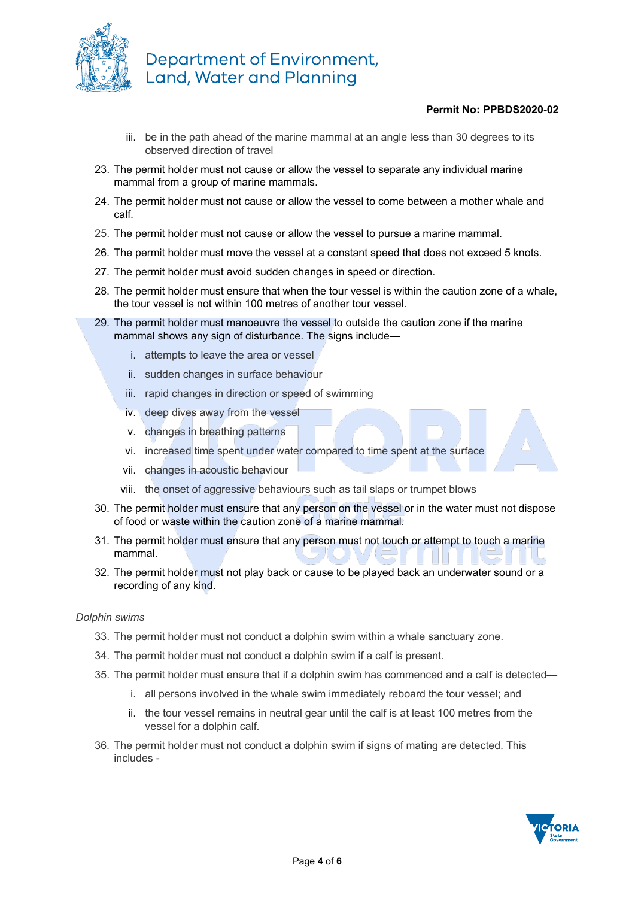

## **Permit No: PPBDS2020-02**

- iii. be in the path ahead of the marine mammal at an angle less than 30 degrees to its observed direction of travel
- 23. The permit holder must not cause or allow the vessel to separate any individual marine mammal from a group of marine mammals.
- 24. The permit holder must not cause or allow the vessel to come between a mother whale and calf.
- 25. The permit holder must not cause or allow the vessel to pursue a marine mammal.
- 26. The permit holder must move the vessel at a constant speed that does not exceed 5 knots.
- 27. The permit holder must avoid sudden changes in speed or direction.
- 28. The permit holder must ensure that when the tour vessel is within the caution zone of a whale, the tour vessel is not within 100 metres of another tour vessel.
- 29. The permit holder must manoeuvre the vessel to outside the caution zone if the marine mammal shows any sign of disturbance. The signs include
	- i. attempts to leave the area or vessel
	- ii. sudden changes in surface behaviour
	- iii. rapid changes in direction or speed of swimming
	- iv. deep dives away from the vessel
	- v. changes in breathing patterns
	- vi. increased time spent under water compared to time spent at the surface
	- vii. changes in acoustic behaviour
	- viii. the onset of aggressive behaviours such as tail slaps or trumpet blows
- 30. The permit holder must ensure that any person on the vessel or in the water must not dispose of food or waste within the caution zone of a marine mammal.
- 31. The permit holder must ensure that any person must not touch or attempt to touch a marine mammal.
- 32. The permit holder must not play back or cause to be played back an underwater sound or a recording of any kind.

#### *Dolphin swims*

- 33. The permit holder must not conduct a dolphin swim within a whale sanctuary zone.
- 34. The permit holder must not conduct a dolphin swim if a calf is present.
- 35. The permit holder must ensure that if a dolphin swim has commenced and a calf is detected
	- i. all persons involved in the whale swim immediately reboard the tour vessel; and
	- ii. the tour vessel remains in neutral gear until the calf is at least 100 metres from the vessel for a dolphin calf.
- 36. The permit holder must not conduct a dolphin swim if signs of mating are detected. This includes -

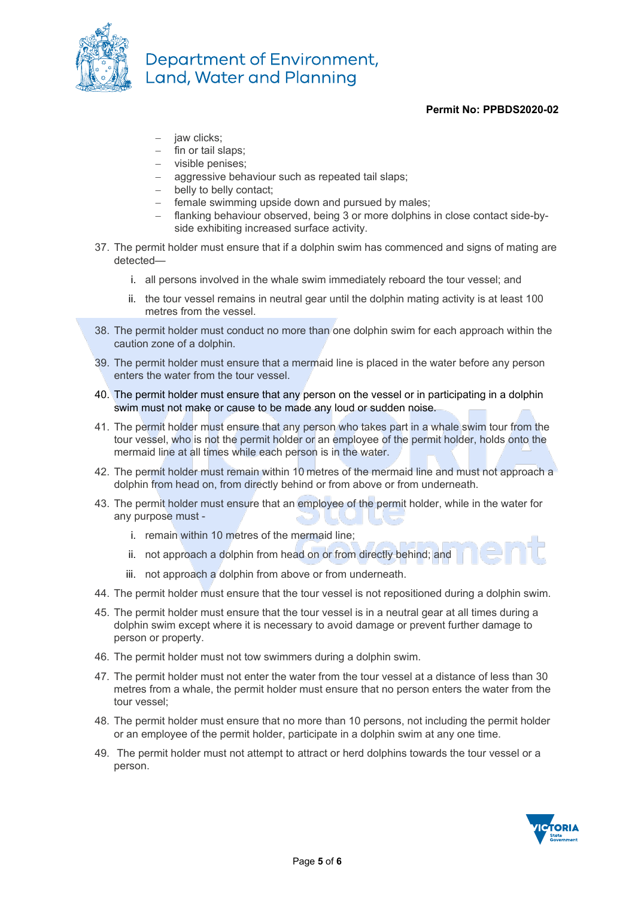

## **Permit No: PPBDS2020-02**

- iaw clicks:
- fin or tail slaps;
- − visible penises;
- aggressive behaviour such as repeated tail slaps;
- − belly to belly contact;
- − female swimming upside down and pursued by males;
- − flanking behaviour observed, being 3 or more dolphins in close contact side-byside exhibiting increased surface activity.
- 37. The permit holder must ensure that if a dolphin swim has commenced and signs of mating are detected
	- i. all persons involved in the whale swim immediately reboard the tour vessel; and
	- ii. the tour vessel remains in neutral gear until the dolphin mating activity is at least 100 metres from the vessel.
- 38. The permit holder must conduct no more than one dolphin swim for each approach within the caution zone of a dolphin.
- 39. The permit holder must ensure that a mermaid line is placed in the water before any person enters the water from the tour vessel.
- 40. The permit holder must ensure that any person on the vessel or in participating in a dolphin swim must not make or cause to be made any loud or sudden noise.
- 41. The permit holder must ensure that any person who takes part in a whale swim tour from the tour vessel, who is not the permit holder or an employee of the permit holder, holds onto the mermaid line at all times while each person is in the water.
- 42. The permit holder must remain within 10 metres of the mermaid line and must not approach a dolphin from head on, from directly behind or from above or from underneath.
- 43. The permit holder must ensure that an employee of the permit holder, while in the water for any purpose must
	- i. remain within 10 metres of the mermaid line;
	- ii. not approach a dolphin from head on or from directly behind; and
	- iii. not approach a dolphin from above or from underneath.
- 44. The permit holder must ensure that the tour vessel is not repositioned during a dolphin swim.
- 45. The permit holder must ensure that the tour vessel is in a neutral gear at all times during a dolphin swim except where it is necessary to avoid damage or prevent further damage to person or property.
- 46. The permit holder must not tow swimmers during a dolphin swim.
- 47. The permit holder must not enter the water from the tour vessel at a distance of less than 30 metres from a whale, the permit holder must ensure that no person enters the water from the tour vessel;
- 48. The permit holder must ensure that no more than 10 persons, not including the permit holder or an employee of the permit holder, participate in a dolphin swim at any one time.
- 49. The permit holder must not attempt to attract or herd dolphins towards the tour vessel or a person.